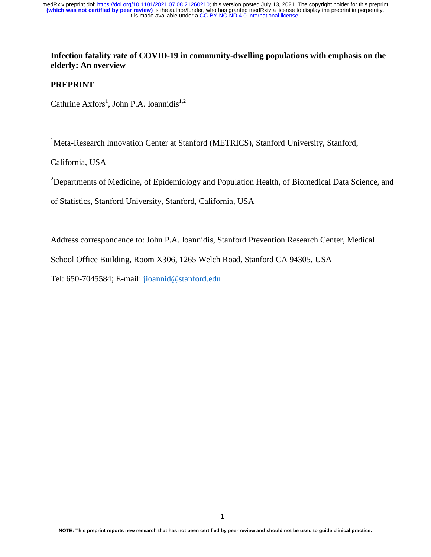## **Infection fatality rate of COVID-19 in community-dwelling populations with emphasis on the elderly: An overview**

## **PREPRINT**

Cathrine  $Axfors<sup>1</sup>$ , John P.A. Ioannidis<sup>1,2</sup>

<sup>1</sup>Meta-Research Innovation Center at Stanford (METRICS), Stanford University, Stanford,

California, USA

<sup>2</sup>Departments of Medicine, of Epidemiology and Population Health, of Biomedical Data Science, and

of Statistics, Stanford University, Stanford, California, USA

Address correspondence to: John P.A. Ioannidis, Stanford Prevention Research Center, Medical

School Office Building, Room X306, 1265 Welch Road, Stanford CA 94305, USA

Tel: 650-7045584; E-mail: jioannid@stanford.edu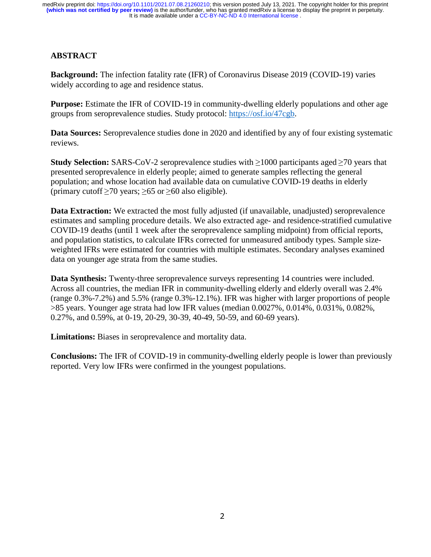It is made available under a [CC-BY-NC-ND 4.0 International license](http://creativecommons.org/licenses/by-nc-nd/4.0/) . **(which was not certified by peer review)** is the author/funder, who has granted medRxiv a license to display the preprint in perpetuity. medRxiv preprint doi: [https://doi.org/10.1101/2021.07.08.21260210;](https://doi.org/10.1101/2021.07.08.21260210) this version posted July 13, 2021. The copyright holder for this preprint

# **ABSTRACT**

**Background:** The infection fatality rate (IFR) of Coronavirus Disease 2019 (COVID-19) varies widely according to age and residence status.

**Purpose:** Estimate the IFR of COVID-19 in community-dwelling elderly populations and other age groups from seroprevalence studies. Study protocol: https://osf.io/47cgb.

**Data Sources:** Seroprevalence studies done in 2020 and identified by any of four existing systematic reviews.

**Study Selection:** SARS-CoV-2 seroprevalence studies with ≥1000 participants aged ≥70 years that presented seroprevalence in elderly people; aimed to generate samples reflecting the general population; and whose location had available data on cumulative COVID-19 deaths in elderly (primary cutoff  $\geq$ 70 years;  $\geq$ 65 or  $\geq$ 60 also eligible).

**Data Extraction:** We extracted the most fully adjusted (if unavailable, unadjusted) seroprevalence estimates and sampling procedure details. We also extracted age- and residence-stratified cumulative COVID-19 deaths (until 1 week after the seroprevalence sampling midpoint) from official reports, and population statistics, to calculate IFRs corrected for unmeasured antibody types. Sample sizeweighted IFRs were estimated for countries with multiple estimates. Secondary analyses examined data on younger age strata from the same studies.

**Data Synthesis:** Twenty-three seroprevalence surveys representing 14 countries were included. Across all countries, the median IFR in community-dwelling elderly and elderly overall was 2.4% (range 0.3%-7.2%) and 5.5% (range 0.3%-12.1%). IFR was higher with larger proportions of people >85 years. Younger age strata had low IFR values (median 0.0027%, 0.014%, 0.031%, 0.082%, 0.27%, and 0.59%, at 0-19, 20-29, 30-39, 40-49, 50-59, and 60-69 years).

**Limitations:** Biases in seroprevalence and mortality data.

**Conclusions:** The IFR of COVID-19 in community-dwelling elderly people is lower than previously reported. Very low IFRs were confirmed in the youngest populations.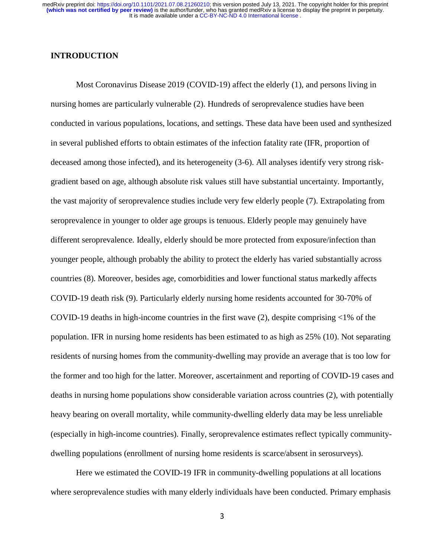## **INTRODUCTION**

Most Coronavirus Disease 2019 (COVID-19) affect the elderly (1), and persons living in nursing homes are particularly vulnerable (2). Hundreds of seroprevalence studies have been conducted in various populations, locations, and settings. These data have been used and synthesized in several published efforts to obtain estimates of the infection fatality rate (IFR, proportion of deceased among those infected), and its heterogeneity (3-6). All analyses identify very strong riskgradient based on age, although absolute risk values still have substantial uncertainty. Importantly, the vast majority of seroprevalence studies include very few elderly people (7). Extrapolating from seroprevalence in younger to older age groups is tenuous. Elderly people may genuinely have different seroprevalence. Ideally, elderly should be more protected from exposure/infection than younger people, although probably the ability to protect the elderly has varied substantially across countries (8). Moreover, besides age, comorbidities and lower functional status markedly affects COVID-19 death risk (9). Particularly elderly nursing home residents accounted for 30-70% of COVID-19 deaths in high-income countries in the first wave  $(2)$ , despite comprising  $\langle 1\%$  of the population. IFR in nursing home residents has been estimated to as high as 25% (10). Not separating residents of nursing homes from the community-dwelling may provide an average that is too low for the former and too high for the latter. Moreover, ascertainment and reporting of COVID-19 cases and deaths in nursing home populations show considerable variation across countries (2), with potentially heavy bearing on overall mortality, while community-dwelling elderly data may be less unreliable (especially in high-income countries). Finally, seroprevalence estimates reflect typically communitydwelling populations (enrollment of nursing home residents is scarce/absent in serosurveys).

Here we estimated the COVID-19 IFR in community-dwelling populations at all locations where seroprevalence studies with many elderly individuals have been conducted. Primary emphasis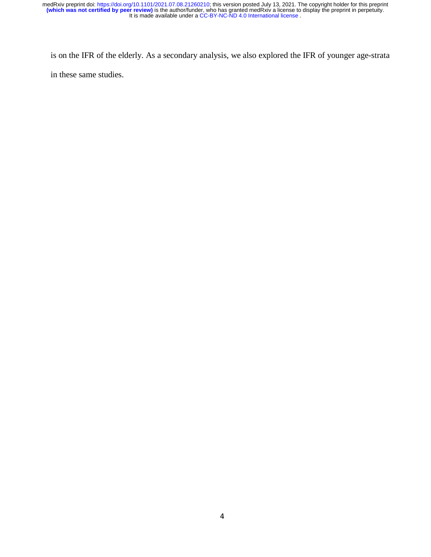is on the IFR of the elderly. As a secondary analysis, we also explored the IFR of younger age-strata in these same studies.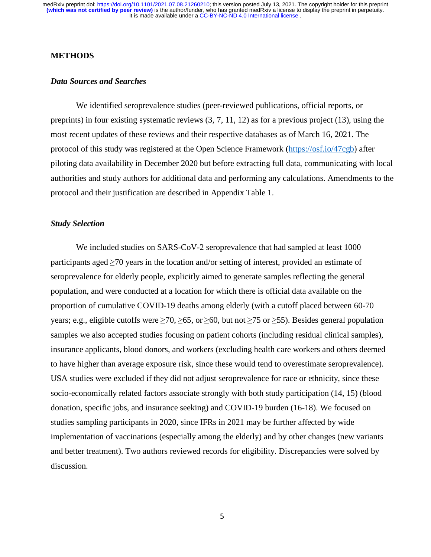## **METHODS**

#### *Data Sources and Searches*

We identified seroprevalence studies (peer-reviewed publications, official reports, or preprints) in four existing systematic reviews (3, 7, 11, 12) as for a previous project (13), using the most recent updates of these reviews and their respective databases as of March 16, 2021. The protocol of this study was registered at the Open Science Framework (https://osf.io/47cgb) after piloting data availability in December 2020 but before extracting full data, communicating with local authorities and study authors for additional data and performing any calculations. Amendments to the protocol and their justification are described in Appendix Table 1.

## *Study Selection*

We included studies on SARS-CoV-2 seroprevalence that had sampled at least 1000 participants aged  $\geq$ 70 years in the location and/or setting of interest, provided an estimate of seroprevalence for elderly people, explicitly aimed to generate samples reflecting the general population, and were conducted at a location for which there is official data available on the proportion of cumulative COVID-19 deaths among elderly (with a cutoff placed between 60-70 years; e.g., eligible cutoffs were  $\geq 70$ ,  $\geq 65$ , or  $\geq 60$ , but not  $\geq 75$  or  $\geq 55$ ). Besides general population samples we also accepted studies focusing on patient cohorts (including residual clinical samples), insurance applicants, blood donors, and workers (excluding health care workers and others deemed to have higher than average exposure risk, since these would tend to overestimate seroprevalence). USA studies were excluded if they did not adjust seroprevalence for race or ethnicity, since these socio-economically related factors associate strongly with both study participation (14, 15) (blood donation, specific jobs, and insurance seeking) and COVID-19 burden (16-18). We focused on studies sampling participants in 2020, since IFRs in 2021 may be further affected by wide implementation of vaccinations (especially among the elderly) and by other changes (new variants and better treatment). Two authors reviewed records for eligibility. Discrepancies were solved by discussion.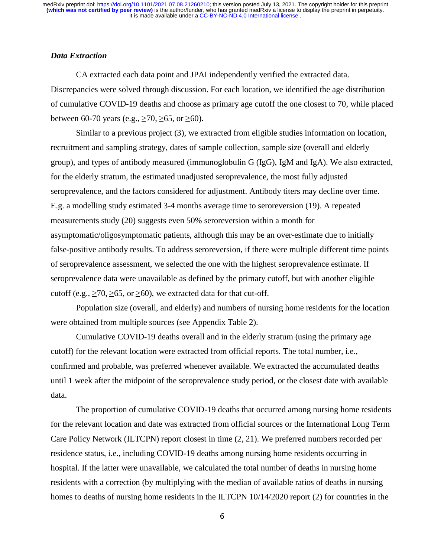## *Data Extraction*

CA extracted each data point and JPAI independently verified the extracted data. Discrepancies were solved through discussion. For each location, we identified the age distribution of cumulative COVID-19 deaths and choose as primary age cutoff the one closest to 70, while placed between 60-70 years (e.g.,  $\geq$  70,  $\geq$  65, or  $\geq$  60).

Similar to a previous project (3), we extracted from eligible studies information on location, recruitment and sampling strategy, dates of sample collection, sample size (overall and elderly group), and types of antibody measured (immunoglobulin G (IgG), IgM and IgA). We also extracted, for the elderly stratum, the estimated unadjusted seroprevalence, the most fully adjusted seroprevalence, and the factors considered for adjustment. Antibody titers may decline over time. E.g. a modelling study estimated 3-4 months average time to seroreversion (19). A repeated measurements study (20) suggests even 50% seroreversion within a month for asymptomatic/oligosymptomatic patients, although this may be an over-estimate due to initially false-positive antibody results. To address seroreversion, if there were multiple different time points of seroprevalence assessment, we selected the one with the highest seroprevalence estimate. If seroprevalence data were unavailable as defined by the primary cutoff, but with another eligible cutoff (e.g.,  $\geq$  70,  $\geq$  65, or  $\geq$  60), we extracted data for that cut-off.

Population size (overall, and elderly) and numbers of nursing home residents for the location were obtained from multiple sources (see Appendix Table 2).

Cumulative COVID-19 deaths overall and in the elderly stratum (using the primary age cutoff) for the relevant location were extracted from official reports. The total number, i.e., confirmed and probable, was preferred whenever available. We extracted the accumulated deaths until 1 week after the midpoint of the seroprevalence study period, or the closest date with available data.

The proportion of cumulative COVID-19 deaths that occurred among nursing home residents for the relevant location and date was extracted from official sources or the International Long Term Care Policy Network (ILTCPN) report closest in time (2, 21). We preferred numbers recorded per residence status, i.e., including COVID-19 deaths among nursing home residents occurring in hospital. If the latter were unavailable, we calculated the total number of deaths in nursing home residents with a correction (by multiplying with the median of available ratios of deaths in nursing homes to deaths of nursing home residents in the ILTCPN 10/14/2020 report (2) for countries in the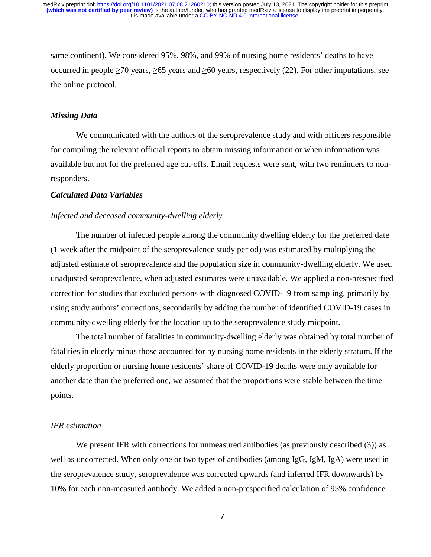same continent). We considered 95%, 98%, and 99% of nursing home residents' deaths to have occurred in people  $\geq$ 70 years,  $\geq$ 65 years and  $\geq$ 60 years, respectively (22). For other imputations, see the online protocol.

### *Missing Data*

We communicated with the authors of the seroprevalence study and with officers responsible for compiling the relevant official reports to obtain missing information or when information was available but not for the preferred age cut-offs. Email requests were sent, with two reminders to nonresponders.

## *Calculated Data Variables*

#### *Infected and deceased community-dwelling elderly*

The number of infected people among the community dwelling elderly for the preferred date (1 week after the midpoint of the seroprevalence study period) was estimated by multiplying the adjusted estimate of seroprevalence and the population size in community-dwelling elderly. We used unadjusted seroprevalence, when adjusted estimates were unavailable. We applied a non-prespecified correction for studies that excluded persons with diagnosed COVID-19 from sampling, primarily by using study authors' corrections, secondarily by adding the number of identified COVID-19 cases in community-dwelling elderly for the location up to the seroprevalence study midpoint.

The total number of fatalities in community-dwelling elderly was obtained by total number of fatalities in elderly minus those accounted for by nursing home residents in the elderly stratum. If the elderly proportion or nursing home residents' share of COVID-19 deaths were only available for another date than the preferred one, we assumed that the proportions were stable between the time points.

### *IFR estimation*

We present IFR with corrections for unmeasured antibodies (as previously described (3)) as well as uncorrected. When only one or two types of antibodies (among IgG, IgM, IgA) were used in the seroprevalence study, seroprevalence was corrected upwards (and inferred IFR downwards) by 10% for each non-measured antibody. We added a non-prespecified calculation of 95% confidence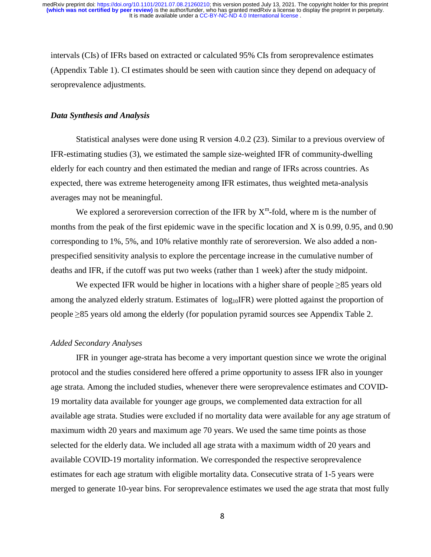intervals (CIs) of IFRs based on extracted or calculated 95% CIs from seroprevalence estimates (Appendix Table 1). CI estimates should be seen with caution since they depend on adequacy of seroprevalence adjustments.

#### *Data Synthesis and Analysis*

Statistical analyses were done using R version 4.0.2 (23). Similar to a previous overview of IFR-estimating studies (3), we estimated the sample size-weighted IFR of community-dwelling elderly for each country and then estimated the median and range of IFRs across countries. As expected, there was extreme heterogeneity among IFR estimates, thus weighted meta-analysis averages may not be meaningful.

We explored a seroreversion correction of the IFR by  $X^m$ -fold, where m is the number of months from the peak of the first epidemic wave in the specific location and X is 0.99, 0.95, and 0.90 corresponding to 1%, 5%, and 10% relative monthly rate of seroreversion. We also added a nonprespecified sensitivity analysis to explore the percentage increase in the cumulative number of deaths and IFR, if the cutoff was put two weeks (rather than 1 week) after the study midpoint.

We expected IFR would be higher in locations with a higher share of people  $\geq 85$  years old among the analyzed elderly stratum. Estimates of  $log_{10}$ IFR) were plotted against the proportion of people ≥85 years old among the elderly (for population pyramid sources see Appendix Table 2.

#### *Added Secondary Analyses*

IFR in younger age-strata has become a very important question since we wrote the original protocol and the studies considered here offered a prime opportunity to assess IFR also in younger age strata. Among the included studies, whenever there were seroprevalence estimates and COVID-19 mortality data available for younger age groups, we complemented data extraction for all available age strata. Studies were excluded if no mortality data were available for any age stratum of maximum width 20 years and maximum age 70 years. We used the same time points as those selected for the elderly data. We included all age strata with a maximum width of 20 years and available COVID-19 mortality information. We corresponded the respective seroprevalence estimates for each age stratum with eligible mortality data. Consecutive strata of 1-5 years were merged to generate 10-year bins. For seroprevalence estimates we used the age strata that most fully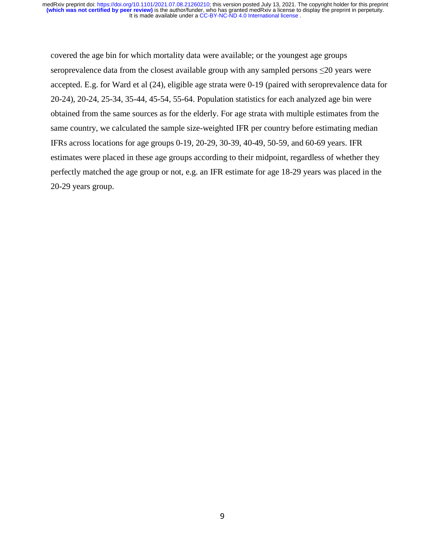covered the age bin for which mortality data were available; or the youngest age groups seroprevalence data from the closest available group with any sampled persons ≤20 years were accepted. E.g. for Ward et al (24), eligible age strata were 0-19 (paired with seroprevalence data for 20-24), 20-24, 25-34, 35-44, 45-54, 55-64. Population statistics for each analyzed age bin were obtained from the same sources as for the elderly. For age strata with multiple estimates from the same country, we calculated the sample size-weighted IFR per country before estimating median IFRs across locations for age groups 0-19, 20-29, 30-39, 40-49, 50-59, and 60-69 years. IFR estimates were placed in these age groups according to their midpoint, regardless of whether they perfectly matched the age group or not, e.g. an IFR estimate for age 18-29 years was placed in the 20-29 years group.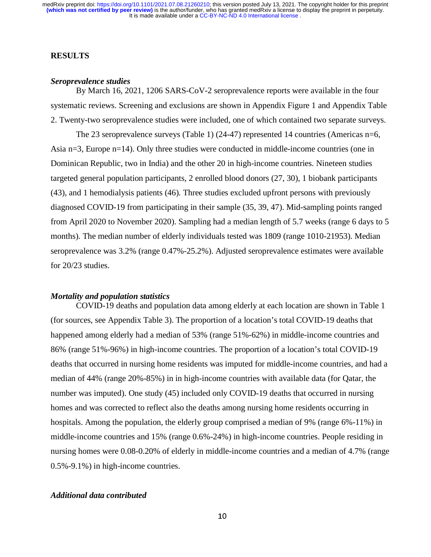## **RESULTS**

#### *Seroprevalence studies*

By March 16, 2021, 1206 SARS-CoV-2 seroprevalence reports were available in the four systematic reviews. Screening and exclusions are shown in Appendix Figure 1 and Appendix Table 2. Twenty-two seroprevalence studies were included, one of which contained two separate surveys.

The 23 seroprevalence surveys (Table 1) (24-47) represented 14 countries (Americas n=6, Asia n=3, Europe n=14). Only three studies were conducted in middle-income countries (one in Dominican Republic, two in India) and the other 20 in high-income countries. Nineteen studies targeted general population participants, 2 enrolled blood donors (27, 30), 1 biobank participants (43), and 1 hemodialysis patients (46). Three studies excluded upfront persons with previously diagnosed COVID-19 from participating in their sample (35, 39, 47). Mid-sampling points ranged from April 2020 to November 2020). Sampling had a median length of 5.7 weeks (range 6 days to 5 months). The median number of elderly individuals tested was 1809 (range 1010-21953). Median seroprevalence was 3.2% (range 0.47%-25.2%). Adjusted seroprevalence estimates were available for 20/23 studies.

#### *Mortality and population statistics*

COVID-19 deaths and population data among elderly at each location are shown in Table 1 (for sources, see Appendix Table 3). The proportion of a location's total COVID-19 deaths that happened among elderly had a median of 53% (range 51%-62%) in middle-income countries and 86% (range 51%-96%) in high-income countries. The proportion of a location's total COVID-19 deaths that occurred in nursing home residents was imputed for middle-income countries, and had a median of 44% (range 20%-85%) in in high-income countries with available data (for Qatar, the number was imputed). One study (45) included only COVID-19 deaths that occurred in nursing homes and was corrected to reflect also the deaths among nursing home residents occurring in hospitals. Among the population, the elderly group comprised a median of 9% (range 6%-11%) in middle-income countries and 15% (range 0.6%-24%) in high-income countries. People residing in nursing homes were 0.08-0.20% of elderly in middle-income countries and a median of 4.7% (range 0.5%-9.1%) in high-income countries.

## *Additional data contributed*

10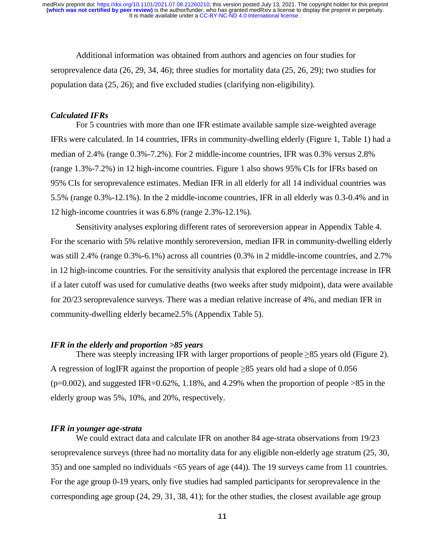Additional information was obtained from authors and agencies on four studies for seroprevalence data (26, 29, 34, 46); three studies for mortality data (25, 26, 29); two studies for population data (25, 26); and five excluded studies (clarifying non-eligibility).

#### *Calculated IFRs*

For 5 countries with more than one IFR estimate available sample size-weighted average IFRs were calculated. In 14 countries, IFRs in community-dwelling elderly (Figure 1, Table 1) had a median of 2.4% (range 0.3%-7.2%). For 2 middle-income countries, IFR was 0.3% versus 2.8% (range 1.3%-7.2%) in 12 high-income countries. Figure 1 also shows 95% CIs for IFRs based on 95% CIs for seroprevalence estimates. Median IFR in all elderly for all 14 individual countries was 5.5% (range 0.3%-12.1%). In the 2 middle-income countries, IFR in all elderly was 0.3-0.4% and in 12 high-income countries it was 6.8% (range 2.3%-12.1%).

Sensitivity analyses exploring different rates of seroreversion appear in Appendix Table 4. For the scenario with 5% relative monthly seroreversion, median IFR in community-dwelling elderly was still 2.4% (range  $0.3\%$ -6.1%) across all countries (0.3% in 2 middle-income countries, and 2.7% in 12 high-income countries. For the sensitivity analysis that explored the percentage increase in IFR if a later cutoff was used for cumulative deaths (two weeks after study midpoint), data were available for 20/23 seroprevalence surveys. There was a median relative increase of 4%, and median IFR in community-dwelling elderly became2.5% (Appendix Table 5).

#### *IFR in the elderly and proportion >85 years*

There was steeply increasing IFR with larger proportions of people  $\geq 85$  years old (Figure 2). A regression of logIFR against the proportion of people ≥85 years old had a slope of 0.056  $(p=0.002)$ , and suggested IFR=0.62%, 1.18%, and 4.29% when the proportion of people >85 in the elderly group was 5%, 10%, and 20%, respectively.

#### *IFR in younger age-strata*

 We could extract data and calculate IFR on another 84 age-strata observations from 19/23 seroprevalence surveys (three had no mortality data for any eligible non-elderly age stratum (25, 30, 35) and one sampled no individuals <65 years of age (44)). The 19 surveys came from 11 countries. For the age group 0-19 years, only five studies had sampled participants for seroprevalence in the corresponding age group (24, 29, 31, 38, 41); for the other studies, the closest available age group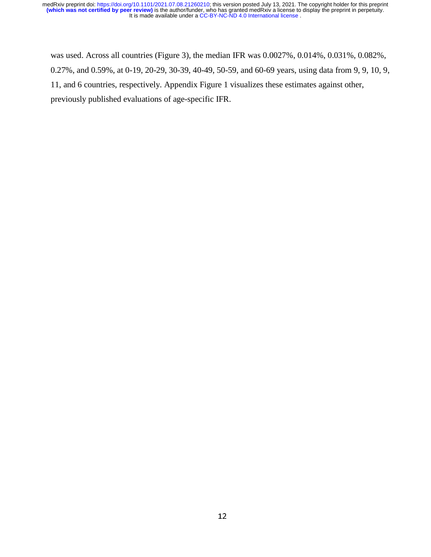was used. Across all countries (Figure 3), the median IFR was 0.0027%, 0.014%, 0.031%, 0.082%, 0.27%, and 0.59%, at 0-19, 20-29, 30-39, 40-49, 50-59, and 60-69 years, using data from 9, 9, 10, 9, 11, and 6 countries, respectively. Appendix Figure 1 visualizes these estimates against other, previously published evaluations of age-specific IFR.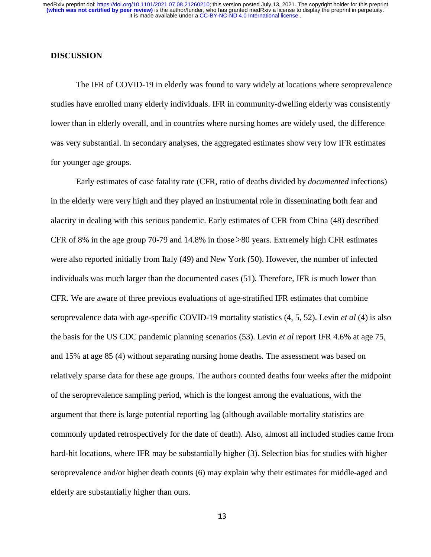## **DISCUSSION**

The IFR of COVID-19 in elderly was found to vary widely at locations where seroprevalence studies have enrolled many elderly individuals. IFR in community-dwelling elderly was consistently lower than in elderly overall, and in countries where nursing homes are widely used, the difference was very substantial. In secondary analyses, the aggregated estimates show very low IFR estimates for younger age groups.

Early estimates of case fatality rate (CFR, ratio of deaths divided by *documented* infections) in the elderly were very high and they played an instrumental role in disseminating both fear and alacrity in dealing with this serious pandemic. Early estimates of CFR from China (48) described CFR of 8% in the age group 70-79 and 14.8% in those  $\geq 80$  years. Extremely high CFR estimates were also reported initially from Italy (49) and New York (50). However, the number of infected individuals was much larger than the documented cases (51). Therefore, IFR is much lower than CFR. We are aware of three previous evaluations of age-stratified IFR estimates that combine seroprevalence data with age-specific COVID-19 mortality statistics (4, 5, 52). Levin *et al* (4) is also the basis for the US CDC pandemic planning scenarios (53). Levin *et al* report IFR 4.6% at age 75, and 15% at age 85 (4) without separating nursing home deaths. The assessment was based on relatively sparse data for these age groups. The authors counted deaths four weeks after the midpoint of the seroprevalence sampling period, which is the longest among the evaluations, with the argument that there is large potential reporting lag (although available mortality statistics are commonly updated retrospectively for the date of death). Also, almost all included studies came from hard-hit locations, where IFR may be substantially higher (3). Selection bias for studies with higher seroprevalence and/or higher death counts (6) may explain why their estimates for middle-aged and elderly are substantially higher than ours.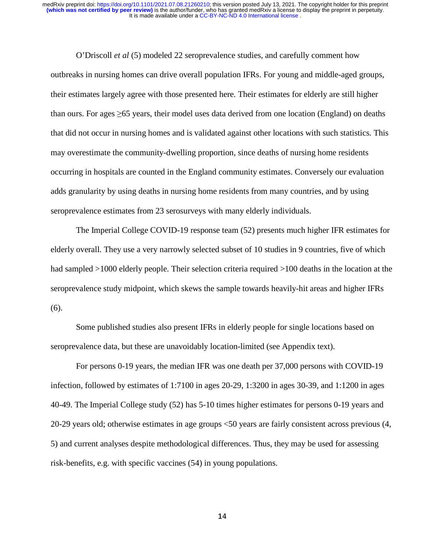O'Driscoll *et al* (5) modeled 22 seroprevalence studies, and carefully comment how outbreaks in nursing homes can drive overall population IFRs. For young and middle-aged groups, their estimates largely agree with those presented here. Their estimates for elderly are still higher than ours. For ages  $\geq 65$  years, their model uses data derived from one location (England) on deaths that did not occur in nursing homes and is validated against other locations with such statistics. This may overestimate the community-dwelling proportion, since deaths of nursing home residents occurring in hospitals are counted in the England community estimates. Conversely our evaluation adds granularity by using deaths in nursing home residents from many countries, and by using seroprevalence estimates from 23 serosurveys with many elderly individuals.

The Imperial College COVID-19 response team (52) presents much higher IFR estimates for elderly overall. They use a very narrowly selected subset of 10 studies in 9 countries, five of which had sampled  $>1000$  elderly people. Their selection criteria required  $>100$  deaths in the location at the seroprevalence study midpoint, which skews the sample towards heavily-hit areas and higher IFRs (6).

Some published studies also present IFRs in elderly people for single locations based on seroprevalence data, but these are unavoidably location-limited (see Appendix text).

For persons 0-19 years, the median IFR was one death per 37,000 persons with COVID-19 infection, followed by estimates of 1:7100 in ages 20-29, 1:3200 in ages 30-39, and 1:1200 in ages 40-49. The Imperial College study (52) has 5-10 times higher estimates for persons 0-19 years and 20-29 years old; otherwise estimates in age groups <50 years are fairly consistent across previous (4, 5) and current analyses despite methodological differences. Thus, they may be used for assessing risk-benefits, e.g. with specific vaccines (54) in young populations.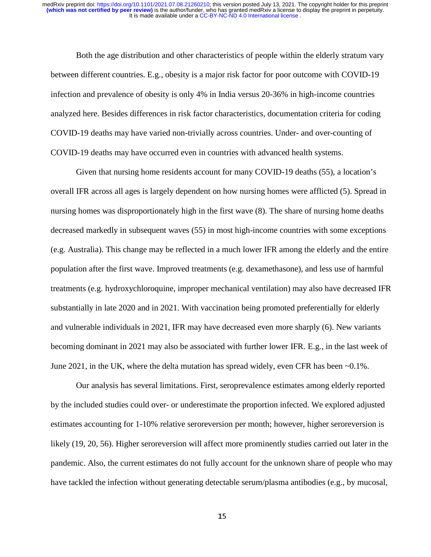Both the age distribution and other characteristics of people within the elderly stratum vary between different countries. E.g., obesity is a major risk factor for poor outcome with COVID-19 infection and prevalence of obesity is only 4% in India versus 20-36% in high-income countries analyzed here. Besides differences in risk factor characteristics, documentation criteria for coding COVID-19 deaths may have varied non-trivially across countries. Under- and over-counting of COVID-19 deaths may have occurred even in countries with advanced health systems.

 Given that nursing home residents account for many COVID-19 deaths (55), a location's overall IFR across all ages is largely dependent on how nursing homes were afflicted (5). Spread in nursing homes was disproportionately high in the first wave (8). The share of nursing home deaths decreased markedly in subsequent waves (55) in most high-income countries with some exceptions (e.g. Australia). This change may be reflected in a much lower IFR among the elderly and the entire population after the first wave. Improved treatments (e.g. dexamethasone), and less use of harmful treatments (e.g. hydroxychloroquine, improper mechanical ventilation) may also have decreased IFR substantially in late 2020 and in 2021. With vaccination being promoted preferentially for elderly and vulnerable individuals in 2021, IFR may have decreased even more sharply (6). New variants becoming dominant in 2021 may also be associated with further lower IFR. E.g., in the last week of June 2021, in the UK, where the delta mutation has spread widely, even CFR has been  $\sim 0.1\%$ .

Our analysis has several limitations. First, seroprevalence estimates among elderly reported by the included studies could over- or underestimate the proportion infected. We explored adjusted estimates accounting for 1-10% relative seroreversion per month; however, higher seroreversion is likely (19, 20, 56). Higher seroreversion will affect more prominently studies carried out later in the pandemic. Also, the current estimates do not fully account for the unknown share of people who may have tackled the infection without generating detectable serum/plasma antibodies (e.g., by mucosal,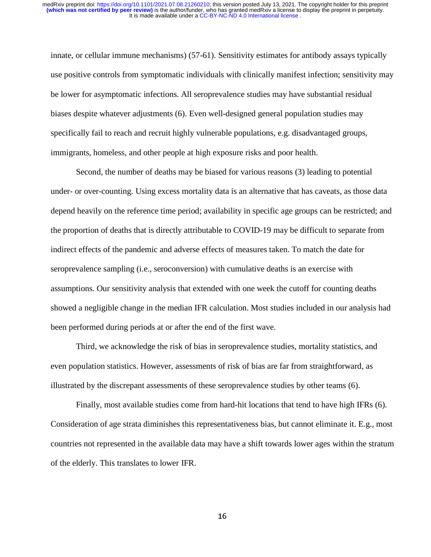innate, or cellular immune mechanisms) (57-61). Sensitivity estimates for antibody assays typically use positive controls from symptomatic individuals with clinically manifest infection; sensitivity may be lower for asymptomatic infections. All seroprevalence studies may have substantial residual biases despite whatever adjustments (6). Even well-designed general population studies may specifically fail to reach and recruit highly vulnerable populations, e.g. disadvantaged groups, immigrants, homeless, and other people at high exposure risks and poor health.

Second, the number of deaths may be biased for various reasons (3) leading to potential under- or over-counting. Using excess mortality data is an alternative that has caveats, as those data depend heavily on the reference time period; availability in specific age groups can be restricted; and the proportion of deaths that is directly attributable to COVID-19 may be difficult to separate from indirect effects of the pandemic and adverse effects of measures taken. To match the date for seroprevalence sampling (i.e., seroconversion) with cumulative deaths is an exercise with assumptions. Our sensitivity analysis that extended with one week the cutoff for counting deaths showed a negligible change in the median IFR calculation. Most studies included in our analysis had been performed during periods at or after the end of the first wave.

Third, we acknowledge the risk of bias in seroprevalence studies, mortality statistics, and even population statistics. However, assessments of risk of bias are far from straightforward, as illustrated by the discrepant assessments of these seroprevalence studies by other teams (6).

Finally, most available studies come from hard-hit locations that tend to have high IFRs (6). Consideration of age strata diminishes this representativeness bias, but cannot eliminate it. E.g., most countries not represented in the available data may have a shift towards lower ages within the stratum of the elderly. This translates to lower IFR.

16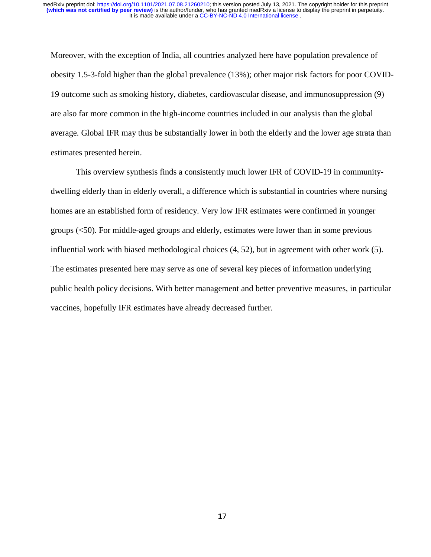Moreover, with the exception of India, all countries analyzed here have population prevalence of obesity 1.5-3-fold higher than the global prevalence (13%); other major risk factors for poor COVID-19 outcome such as smoking history, diabetes, cardiovascular disease, and immunosuppression (9) are also far more common in the high-income countries included in our analysis than the global average. Global IFR may thus be substantially lower in both the elderly and the lower age strata than estimates presented herein.

This overview synthesis finds a consistently much lower IFR of COVID-19 in communitydwelling elderly than in elderly overall, a difference which is substantial in countries where nursing homes are an established form of residency. Very low IFR estimates were confirmed in younger groups (<50). For middle-aged groups and elderly, estimates were lower than in some previous influential work with biased methodological choices (4, 52), but in agreement with other work (5). The estimates presented here may serve as one of several key pieces of information underlying public health policy decisions. With better management and better preventive measures, in particular vaccines, hopefully IFR estimates have already decreased further.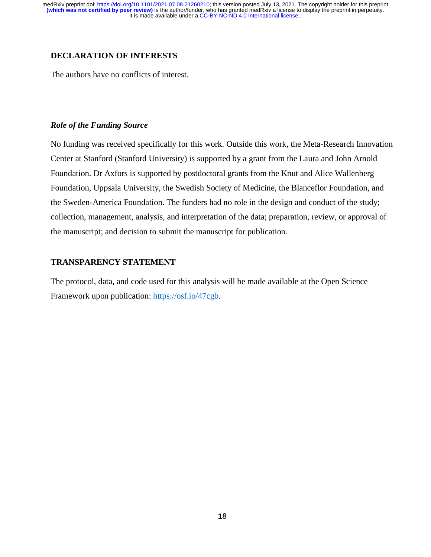## **DECLARATION OF INTERESTS**

The authors have no conflicts of interest.

## *Role of the Funding Source*

No funding was received specifically for this work. Outside this work, the Meta-Research Innovation Center at Stanford (Stanford University) is supported by a grant from the Laura and John Arnold Foundation. Dr Axfors is supported by postdoctoral grants from the Knut and Alice Wallenberg Foundation, Uppsala University, the Swedish Society of Medicine, the Blanceflor Foundation, and the Sweden-America Foundation. The funders had no role in the design and conduct of the study; collection, management, analysis, and interpretation of the data; preparation, review, or approval of the manuscript; and decision to submit the manuscript for publication.

## **TRANSPARENCY STATEMENT**

The protocol, data, and code used for this analysis will be made available at the Open Science Framework upon publication: https://osf.io/47cgb.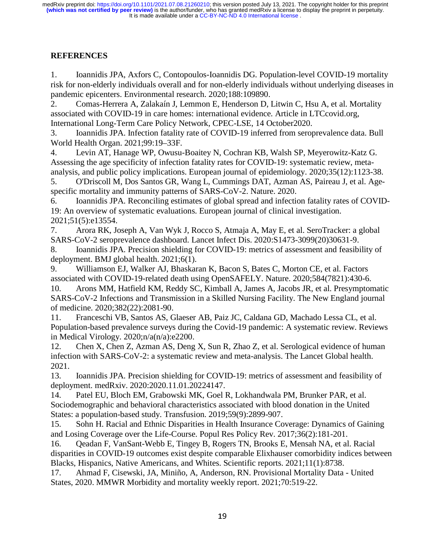# **REFERENCES**

1. Ioannidis JPA, Axfors C, Contopoulos-Ioannidis DG. Population-level COVID-19 mortality risk for non-elderly individuals overall and for non-elderly individuals without underlying diseases in pandemic epicenters. Environmental research. 2020;188:109890.

2. Comas-Herrera A, Zalakaín J, Lemmon E, Henderson D, Litwin C, Hsu A, et al. Mortality associated with COVID-19 in care homes: international evidence. Article in LTCcovid.org, International Long-Term Care Policy Network, CPEC-LSE, 14 October2020.

3. Ioannidis JPA. Infection fatality rate of COVID-19 inferred from seroprevalence data. Bull World Health Organ. 2021;99:19–33F.

4. Levin AT, Hanage WP, Owusu-Boaitey N, Cochran KB, Walsh SP, Meyerowitz-Katz G. Assessing the age specificity of infection fatality rates for COVID-19: systematic review, metaanalysis, and public policy implications. European journal of epidemiology. 2020;35(12):1123-38.

5. O'Driscoll M, Dos Santos GR, Wang L, Cummings DAT, Azman AS, Paireau J, et al. Agespecific mortality and immunity patterns of SARS-CoV-2. Nature. 2020.

6. Ioannidis JPA. Reconciling estimates of global spread and infection fatality rates of COVID-19: An overview of systematic evaluations. European journal of clinical investigation. 2021;51(5):e13554.

7. Arora RK, Joseph A, Van Wyk J, Rocco S, Atmaja A, May E, et al. SeroTracker: a global SARS-CoV-2 seroprevalence dashboard. Lancet Infect Dis. 2020:S1473-3099(20)30631-9.

8. Ioannidis JPA. Precision shielding for COVID-19: metrics of assessment and feasibility of deployment. BMJ global health. 2021;6(1).

9. Williamson EJ, Walker AJ, Bhaskaran K, Bacon S, Bates C, Morton CE, et al. Factors associated with COVID-19-related death using OpenSAFELY. Nature. 2020;584(7821):430-6.

10. Arons MM, Hatfield KM, Reddy SC, Kimball A, James A, Jacobs JR, et al. Presymptomatic SARS-CoV-2 Infections and Transmission in a Skilled Nursing Facility. The New England journal of medicine. 2020;382(22):2081-90.

11. Franceschi VB, Santos AS, Glaeser AB, Paiz JC, Caldana GD, Machado Lessa CL, et al. Population-based prevalence surveys during the Covid-19 pandemic: A systematic review. Reviews in Medical Virology. 2020;n/a(n/a):e2200.

12. Chen X, Chen Z, Azman AS, Deng X, Sun R, Zhao Z, et al. Serological evidence of human infection with SARS-CoV-2: a systematic review and meta-analysis. The Lancet Global health. 2021.

13. Ioannidis JPA. Precision shielding for COVID-19: metrics of assessment and feasibility of deployment. medRxiv. 2020:2020.11.01.20224147.

14. Patel EU, Bloch EM, Grabowski MK, Goel R, Lokhandwala PM, Brunker PAR, et al. Sociodemographic and behavioral characteristics associated with blood donation in the United States: a population-based study. Transfusion. 2019;59(9):2899-907.

15. Sohn H. Racial and Ethnic Disparities in Health Insurance Coverage: Dynamics of Gaining and Losing Coverage over the Life-Course. Popul Res Policy Rev. 2017;36(2):181-201.

16. Qeadan F, VanSant-Webb E, Tingey B, Rogers TN, Brooks E, Mensah NA, et al. Racial disparities in COVID-19 outcomes exist despite comparable Elixhauser comorbidity indices between Blacks, Hispanics, Native Americans, and Whites. Scientific reports. 2021;11(1):8738.

17. Ahmad F, Cisewski, JA, Miniño, A, Anderson, RN. Provisional Mortality Data - United States, 2020. MMWR Morbidity and mortality weekly report. 2021;70:519-22.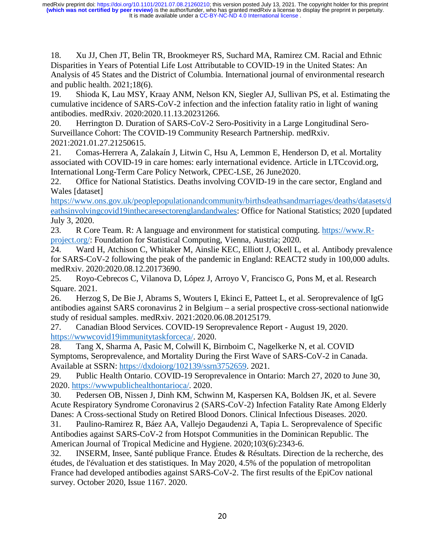18. Xu JJ, Chen JT, Belin TR, Brookmeyer RS, Suchard MA, Ramirez CM. Racial and Ethnic Disparities in Years of Potential Life Lost Attributable to COVID-19 in the United States: An Analysis of 45 States and the District of Columbia. International journal of environmental research and public health. 2021;18(6).

19. Shioda K, Lau MSY, Kraay ANM, Nelson KN, Siegler AJ, Sullivan PS, et al. Estimating the cumulative incidence of SARS-CoV-2 infection and the infection fatality ratio in light of waning antibodies. medRxiv. 2020:2020.11.13.20231266.

20. Herrington D. Duration of SARS-CoV-2 Sero-Positivity in a Large Longitudinal Sero-Surveillance Cohort: The COVID-19 Community Research Partnership. medRxiv. 2021:2021.01.27.21250615.

21. Comas-Herrera A, Zalakaín J, Litwin C, Hsu A, Lemmon E, Henderson D, et al. Mortality associated with COVID-19 in care homes: early international evidence. Article in LTCcovid.org, International Long-Term Care Policy Network, CPEC-LSE, 26 June2020.

22. Office for National Statistics. Deaths involving COVID-19 in the care sector, England and Wales [dataset]

https://www.ons.gov.uk/peoplepopulationandcommunity/birthsdeathsandmarriages/deaths/datasets/d eathsinvolvingcovid19inthecaresectorenglandandwales: Office for National Statistics; 2020 [updated July 3, 2020.

23. R Core Team. R: A language and environment for statistical computing. https://www.Rproject.org/: Foundation for Statistical Computing, Vienna, Austria; 2020.

24. Ward H, Atchison C, Whitaker M, Ainslie KEC, Elliott J, Okell L, et al. Antibody prevalence for SARS-CoV-2 following the peak of the pandemic in England: REACT2 study in 100,000 adults. medRxiv. 2020:2020.08.12.20173690.

25. Royo-Cebrecos C, Vilanova D, López J, Arroyo V, Francisco G, Pons M, et al. Research Square. 2021.

26. Herzog S, De Bie J, Abrams S, Wouters I, Ekinci E, Patteet L, et al. Seroprevalence of IgG antibodies against SARS coronavirus 2 in Belgium – a serial prospective cross-sectional nationwide study of residual samples. medRxiv. 2021:2020.06.08.20125179.

27. Canadian Blood Services. COVID-19 Seroprevalence Report - August 19, 2020. https://wwwcovid19immunitytaskforceca/. 2020.

28. Tang X, Sharma A, Pasic M, Colwill K, Birnboim C, Nagelkerke N, et al. COVID Symptoms, Seroprevalence, and Mortality During the First Wave of SARS-CoV-2 in Canada. Available at SSRN: https://dxdoiorg/102139/ssrn3752659. 2021.

29. Public Health Ontario. COVID-19 Seroprevalence in Ontario: March 27, 2020 to June 30, 2020. https://wwwpublichealthontarioca/. 2020.

30. Pedersen OB, Nissen J, Dinh KM, Schwinn M, Kaspersen KA, Boldsen JK, et al. Severe Acute Respiratory Syndrome Coronavirus 2 (SARS-CoV-2) Infection Fatality Rate Among Elderly Danes: A Cross-sectional Study on Retired Blood Donors. Clinical Infectious Diseases. 2020.

31. Paulino-Ramirez R, Báez AA, Vallejo Degaudenzi A, Tapia L. Seroprevalence of Specific Antibodies against SARS-CoV-2 from Hotspot Communities in the Dominican Republic. The American Journal of Tropical Medicine and Hygiene. 2020;103(6):2343-6.

32. INSERM, Insee, Santé publique France. Études & Résultats. Direction de la recherche, des études, de l'évaluation et des statistiques. In May 2020, 4.5% of the population of metropolitan France had developed antibodies against SARS-CoV-2. The first results of the EpiCov national survey. October 2020, Issue 1167. 2020.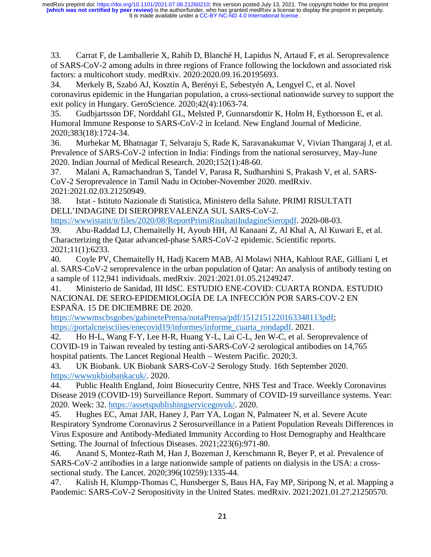33. Carrat F, de Lamballerie X, Rahib D, Blanché H, Lapidus N, Artaud F, et al. Seroprevalence of SARS-CoV-2 among adults in three regions of France following the lockdown and associated risk factors: a multicohort study. medRxiv. 2020:2020.09.16.20195693.

34. Merkely B, Szabó AJ, Kosztin A, Berényi E, Sebestyén A, Lengyel C, et al. Novel coronavirus epidemic in the Hungarian population, a cross-sectional nationwide survey to support the exit policy in Hungary. GeroScience. 2020;42(4):1063-74.

35. Gudbjartsson DF, Norddahl GL, Melsted P, Gunnarsdottir K, Holm H, Eythorsson E, et al. Humoral Immune Response to SARS-CoV-2 in Iceland. New England Journal of Medicine. 2020;383(18):1724-34.

36. Murhekar M, Bhatnagar T, Selvaraju S, Rade K, Saravanakumar V, Vivian Thangaraj J, et al. Prevalence of SARS-CoV-2 infection in India: Findings from the national serosurvey, May-June 2020. Indian Journal of Medical Research. 2020;152(1):48-60.

37. Malani A, Ramachandran S, Tandel V, Parasa R, Sudharshini S, Prakash V, et al. SARS-CoV-2 Seroprevalence in Tamil Nadu in October-November 2020. medRxiv. 2021:2021.02.03.21250949.

38. Istat - Istituto Nazionale di Statistica, Ministero della Salute. PRIMI RISULTATI DELL'INDAGINE DI SIEROPREVALENZA SUL SARS-CoV-2.

https://wwwistatit/it/files/2020/08/ReportPrimiRisultatiIndagineSieropdf. 2020-08-03.

39. Abu-Raddad LJ, Chemaitelly H, Ayoub HH, Al Kanaani Z, Al Khal A, Al Kuwari E, et al. Characterizing the Qatar advanced-phase SARS-CoV-2 epidemic. Scientific reports. 2021;11(1):6233.

40. Coyle PV, Chemaitelly H, Hadj Kacem MAB, Al Molawi NHA, Kahlout RAE, Gilliani I, et al. SARS-CoV-2 seroprevalence in the urban population of Qatar: An analysis of antibody testing on a sample of 112,941 individuals. medRxiv. 2021:2021.01.05.21249247.

41. Ministerio de Sanidad, III IdSC. ESTUDIO ENE-COVID: CUARTA RONDA. ESTUDIO NACIONAL DE SERO-EPIDEMIOLOGÍA DE LA INFECCIÓN POR SARS-COV-2 EN ESPAÑA. 15 DE DICIEMBRE DE 2020.

https://wwwmscbsgobes/gabinetePrensa/notaPrensa/pdf/1512151220163348113pdf; https://portalcneisciiies/enecovid19/informes/informe\_cuarta\_rondapdf. 2021.

42. Ho H-L, Wang F-Y, Lee H-R, Huang Y-L, Lai C-L, Jen W-C, et al. Seroprevalence of COVID-19 in Taiwan revealed by testing anti-SARS-CoV-2 serological antibodies on 14,765 hospital patients. The Lancet Regional Health – Western Pacific. 2020;3.

43. UK Biobank. UK Biobank SARS-CoV-2 Serology Study. 16th September 2020. https://wwwukbiobankacuk/. 2020.

44. Public Health England, Joint Biosecurity Centre, NHS Test and Trace. Weekly Coronavirus Disease 2019 (COVID-19) Surveillance Report. Summary of COVID-19 surveillance systems. Year: 2020. Week: 32. https://assetspublishingservicegovuk/. 2020.

45. Hughes EC, Amat JAR, Haney J, Parr YA, Logan N, Palmateer N, et al. Severe Acute Respiratory Syndrome Coronavirus 2 Serosurveillance in a Patient Population Reveals Differences in Virus Exposure and Antibody-Mediated Immunity According to Host Demography and Healthcare Setting. The Journal of Infectious Diseases. 2021;223(6):971-80.

46. Anand S, Montez-Rath M, Han J, Bozeman J, Kerschmann R, Beyer P, et al. Prevalence of SARS-CoV-2 antibodies in a large nationwide sample of patients on dialysis in the USA: a crosssectional study. The Lancet. 2020;396(10259):1335-44.

47. Kalish H, Klumpp-Thomas C, Hunsberger S, Baus HA, Fay MP, Siripong N, et al. Mapping a Pandemic: SARS-CoV-2 Seropositivity in the United States. medRxiv. 2021:2021.01.27.21250570.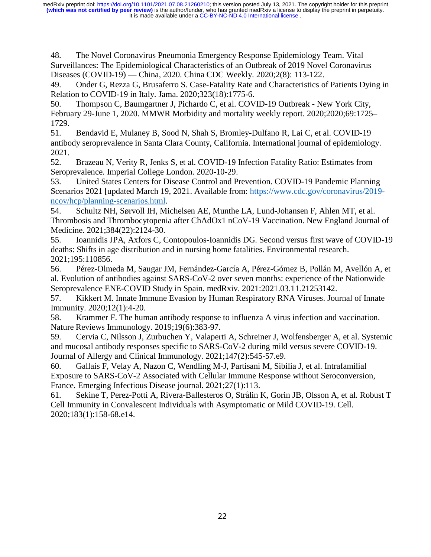48. The Novel Coronavirus Pneumonia Emergency Response Epidemiology Team. Vital Surveillances: The Epidemiological Characteristics of an Outbreak of 2019 Novel Coronavirus Diseases (COVID-19) — China, 2020. China CDC Weekly. 2020;2(8): 113-122.

49. Onder G, Rezza G, Brusaferro S. Case-Fatality Rate and Characteristics of Patients Dying in Relation to COVID-19 in Italy. Jama. 2020;323(18):1775-6.

50. Thompson C, Baumgartner J, Pichardo C, et al. COVID-19 Outbreak - New York City, February 29-June 1, 2020. MMWR Morbidity and mortality weekly report. 2020;2020;69:1725– 1729.

51. Bendavid E, Mulaney B, Sood N, Shah S, Bromley-Dulfano R, Lai C, et al. COVID-19 antibody seroprevalence in Santa Clara County, California. International journal of epidemiology. 2021.

52. Brazeau N, Verity R, Jenks S, et al. COVID-19 Infection Fatality Ratio: Estimates from Seroprevalence. Imperial College London. 2020-10-29.

53. United States Centers for Disease Control and Prevention. COVID-19 Pandemic Planning Scenarios 2021 [updated March 19, 2021. Available from: https://www.cdc.gov/coronavirus/2019 ncov/hcp/planning-scenarios.html.

54. Schultz NH, Sørvoll IH, Michelsen AE, Munthe LA, Lund-Johansen F, Ahlen MT, et al. Thrombosis and Thrombocytopenia after ChAdOx1 nCoV-19 Vaccination. New England Journal of Medicine. 2021;384(22):2124-30.

55. Ioannidis JPA, Axfors C, Contopoulos-Ioannidis DG. Second versus first wave of COVID-19 deaths: Shifts in age distribution and in nursing home fatalities. Environmental research. 2021;195:110856.

56. Pérez-Olmeda M, Saugar JM, Fernández-García A, Pérez-Gómez B, Pollán M, Avellón A, et al. Evolution of antibodies against SARS-CoV-2 over seven months: experience of the Nationwide Seroprevalence ENE-COVID Study in Spain. medRxiv. 2021:2021.03.11.21253142.

57. Kikkert M. Innate Immune Evasion by Human Respiratory RNA Viruses. Journal of Innate Immunity. 2020;12(1):4-20.

58. Krammer F. The human antibody response to influenza A virus infection and vaccination. Nature Reviews Immunology. 2019;19(6):383-97.

59. Cervia C, Nilsson J, Zurbuchen Y, Valaperti A, Schreiner J, Wolfensberger A, et al. Systemic and mucosal antibody responses specific to SARS-CoV-2 during mild versus severe COVID-19. Journal of Allergy and Clinical Immunology. 2021;147(2):545-57.e9.

60. Gallais F, Velay A, Nazon C, Wendling M-J, Partisani M, Sibilia J, et al. Intrafamilial Exposure to SARS-CoV-2 Associated with Cellular Immune Response without Seroconversion, France. Emerging Infectious Disease journal. 2021;27(1):113.

61. Sekine T, Perez-Potti A, Rivera-Ballesteros O, Strålin K, Gorin JB, Olsson A, et al. Robust T Cell Immunity in Convalescent Individuals with Asymptomatic or Mild COVID-19. Cell. 2020;183(1):158-68.e14.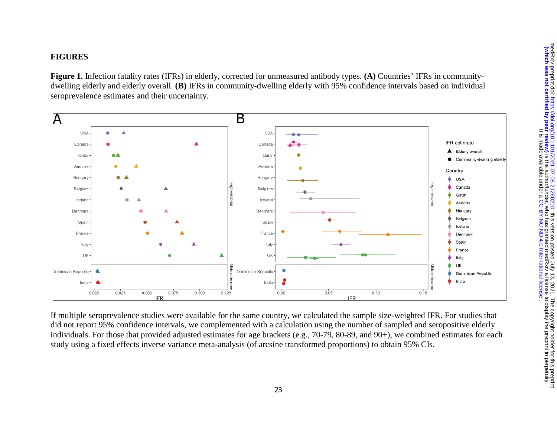# **FIGURES**

**Figure 1.** Infection fatality rates (IFRs) in elderly, corrected for unmeasured antibody types. **(A)** Countries' IFRs in communitydwelling elderly and elderly overall. **(B)** IFRs in community-dwelling elderly with 95% confidence intervals based on individual seroprevalence estimates and their uncertainty.



If multiple seroprevalence studies were available for the same country, we calculated the sample size-weighted IFR. For studies that did not report 95% confidence intervals, we complemented with a calculation using the number of sampled and seropositive elderly individuals. For those that provided adjusted estimates for age brackets (e.g., 70-79, 80-89, and 90+), we combined estimates for each study using a fixed effects inverse variance meta-analysis (of arcsine transformed proportions) to obtain 95% CIs.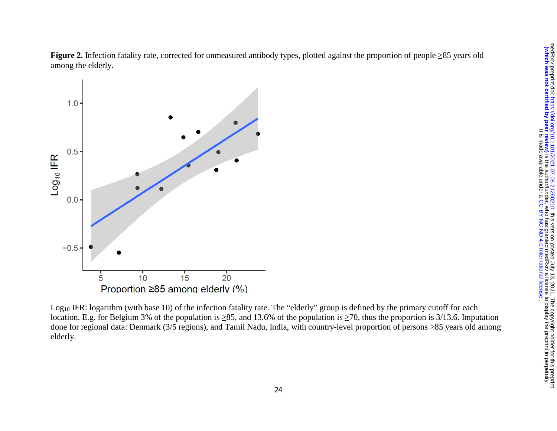**Figure 2.** Infection fatality rate, corrected for unmeasured antibody types, plotted against the proportion of people ≥85 years old among the elderly.



 $Log<sub>10</sub> IFR: logarithm (with base 10) of the infection fatality rate. The "elderly" group is defined by the primary cutoff for each$ location. E.g. for Belgium 3% of the population is ≥85, and 13.6% of the population is ≥70, thus the proportion is 3/13.6. Imputation done for regional data: Denmark (3/5 regions), and Tamil Nadu, India, with country-level proportion of persons ≥85 years old among elderly.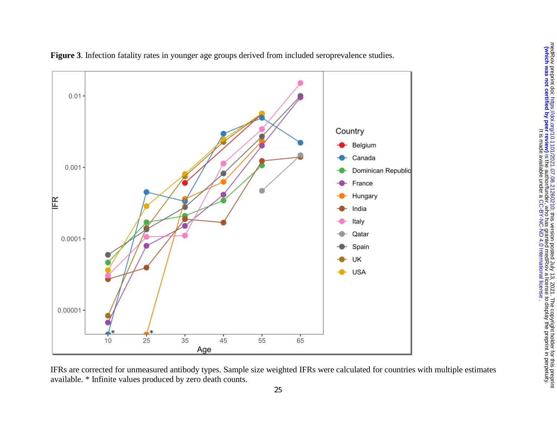

**Figure 3**. Infection fatality rates in younger age groups derived from included seroprevalence studies.

IFRs are corrected for unmeasured antibody types. Sample size weighted IFRs were calculated for countries with multiple estimates available. \* Infinite values produced by zero death counts.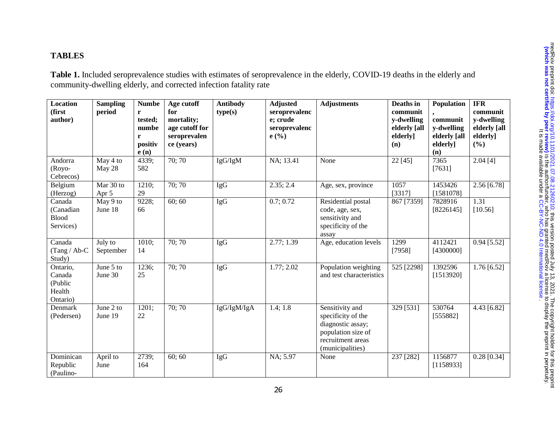## **TABLES**

**Table 1.** Included seroprevalence studies with estimates of seroprevalence in the elderly, COVID-19 deaths in the elderly and community-dwelling elderly, and corrected infection fatality rate

| Location<br>(first<br>author)                       | <b>Sampling</b><br>period | <b>Numbe</b><br>r<br>tested;<br>numbe<br>r<br>positiv<br>e(n) | Age cutoff<br>for<br>mortality;<br>age cutoff for<br>seroprevalen<br>ce (years) | <b>Antibody</b><br>type(s) | <b>Adjusted</b><br>seroprevalenc<br>e; crude<br>seroprevalenc<br>e(%) | <b>Adjustments</b>                                                                                                        | Deaths in<br>communit<br>y-dwelling<br>elderly [all<br>elderly]<br>(n) | Population<br>communit<br>y-dwelling<br>elderly [all<br>elderly]<br>(n) | <b>IFR</b><br>communit<br>y-dwelling<br>elderly [all<br>elderly]<br>(%) |
|-----------------------------------------------------|---------------------------|---------------------------------------------------------------|---------------------------------------------------------------------------------|----------------------------|-----------------------------------------------------------------------|---------------------------------------------------------------------------------------------------------------------------|------------------------------------------------------------------------|-------------------------------------------------------------------------|-------------------------------------------------------------------------|
| Andorra<br>(Royo-<br>Cebrecos)                      | May 4 to<br>May 28        | 4339;<br>582                                                  | 70; 70                                                                          | IgG/IgM                    | NA; 13.41                                                             | None                                                                                                                      | 22 [45]                                                                | 7365<br>[7631]                                                          | 2.04[4]                                                                 |
| Belgium<br>(Herzog)                                 | Mar 30 to<br>Apr 5        | 1210:<br>29                                                   | 70; 70                                                                          | <b>IgG</b>                 | 2.35; 2.4                                                             | Age, sex, province                                                                                                        | 1057<br>[3317]                                                         | 1453426<br>[1581078]                                                    | 2.56 [6.78]                                                             |
| Canada<br>(Canadian<br><b>Blood</b><br>Services)    | May 9 to<br>June 18       | 9228;<br>66                                                   | 60; 60                                                                          | IgG                        | 0.7; 0.72                                                             | Residential postal<br>code, age, sex,<br>sensitivity and<br>specificity of the<br>assay                                   | 867 [7359]                                                             | 7828916<br>[8226145]                                                    | 1.31<br>[10.56]                                                         |
| Canada<br>$(Tang / Ab-C)$<br>Study)                 | July to<br>September      | 1010;<br>14                                                   | 70; 70                                                                          | <b>IgG</b>                 | 2.77; 1.39                                                            | Age, education levels                                                                                                     | 1299<br>[7958]                                                         | 4112421<br>[4300000]                                                    | $0.94$ [5.52]                                                           |
| Ontario,<br>Canada<br>(Public<br>Health<br>Ontario) | June 5 to<br>June 30      | 1236;<br>25                                                   | 70; 70                                                                          | <b>IgG</b>                 | 1.77; 2.02                                                            | Population weighting<br>and test characteristics                                                                          | 525 [2298]                                                             | 1392596<br>[1513920]                                                    | $1.76$ [6.52]                                                           |
| Denmark<br>(Pedersen)                               | June 2 to<br>June 19      | 1201;<br>22                                                   | 70; 70                                                                          | IgG/IgM/IgA                | 1.4; 1.8                                                              | Sensitivity and<br>specificity of the<br>diagnostic assay;<br>population size of<br>recruitment areas<br>(municipalities) | 329 [531]                                                              | 530764<br>[555882]                                                      | 4.43 [6.82]                                                             |
| Dominican<br>Republic<br>(Paulino-                  | April to<br>June          | 2739;<br>164                                                  | 60; 60                                                                          | <b>IgG</b>                 | NA; 5.97                                                              | None                                                                                                                      | 237 [282]                                                              | 1156877<br>[1158933]                                                    | $0.28$ [0.34]                                                           |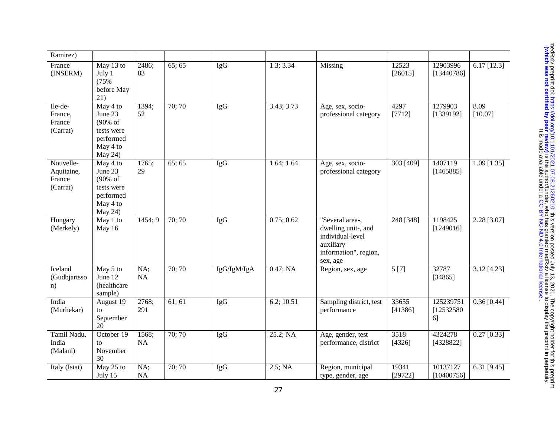| Ramirez)                                      |                                                                                              |              |        |             |            |                                                                                                              |                  |                               |                          |
|-----------------------------------------------|----------------------------------------------------------------------------------------------|--------------|--------|-------------|------------|--------------------------------------------------------------------------------------------------------------|------------------|-------------------------------|--------------------------|
| France<br>(INSERM)                            | May 13 to<br>July 1<br>(75%<br>before May<br>21)                                             | 2486;<br>83  | 65; 65 | IgG         | 1.3; 3.34  | Missing                                                                                                      | 12523<br>[26015] | 12903996<br>[13440786]        | $6.17$ [12.3]            |
| Ile-de-<br>France,<br>France<br>(Carrat)      | May $4 \overline{6}$<br>June 23<br>(90% of<br>tests were<br>performed<br>May 4 to<br>May 24) | 1394;<br>52  | 70; 70 | <b>IgG</b>  | 3.43; 3.73 | Age, sex, socio-<br>professional category                                                                    | 4297<br>[7712]   | 1279903<br>[1339192]          | 8.09<br>[10.07]          |
| Nouvelle-<br>Aquitaine,<br>France<br>(Carrat) | May 4 to<br>June 23<br>(90% of<br>tests were<br>performed<br>May 4 to<br>May 24)             | 1765;<br>29  | 65:65  | <b>IgG</b>  | 1.64; 1.64 | Age, sex, socio-<br>professional category                                                                    | 303 [409]        | 1407119<br>[1465885]          | $1.09$ [1.35]            |
| Hungary<br>(Merkely)                          | May 1 to<br>May 16                                                                           | 1454; 9      | 70; 70 | <b>IgG</b>  | 0.75; 0.62 | "Several area-,<br>dwelling unit-, and<br>individual-level<br>auxiliary<br>information", region,<br>sex, age | 248 [348]        | 1198425<br>[1249016]          | 2.28 [3.07]              |
| Iceland<br>(Gudbjartsso<br>n)                 | May 5 to<br>June 12<br>(healthcare<br>sample)                                                | NA;<br>NA    | 70;70  | IgG/IgM/IgA | 0.47; NA   | Region, sex, age                                                                                             | 5[7]             | 32787<br>[34865]              | 3.12 [4.23]              |
| India<br>(Murhekar)                           | August $19$<br>to<br>September<br>20                                                         | 2768;<br>291 | 61; 61 | <b>IgG</b>  | 6.2; 10.51 | Sampling district, test<br>performance                                                                       | 33655<br>[41386] | 125239751<br>[12532580]<br>6] | $\overline{0.36}$ [0.44] |
| Tamil Nadu,<br>India<br>(Malani)              | October 19<br>to<br>November<br>30                                                           | 1568;<br>NA  | 70;70  | <b>IgG</b>  | 25.2; NA   | Age, gender, test<br>performance, district                                                                   | 3518<br>[4326]   | 4324278<br>[4328822]          | $0.27$ [0.33]            |
| Italy (Istat)                                 | May 25 to<br>July 15                                                                         | NA;<br>NA    | 70; 70 | <b>IgG</b>  | 2.5; NA    | Region, municipal<br>type, gender, age                                                                       | 19341<br>[29722] | 10137127<br>[10400756]        | 6.31 $[9.45]$            |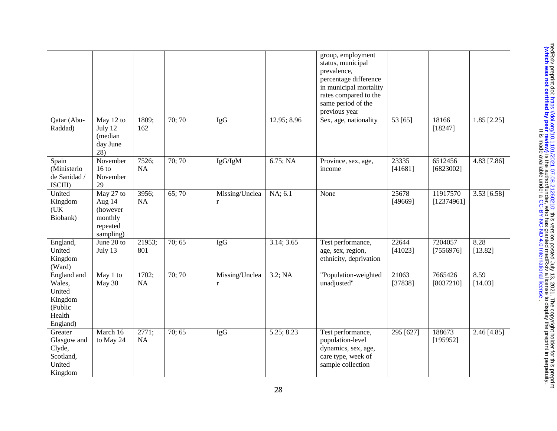|                                                                             |                                                                     |               |        |                           |             | group, employment<br>status, municipal<br>prevalence,<br>percentage difference<br>in municipal mortality<br>rates compared to the<br>same period of the<br>previous year |                  |                        |                 |
|-----------------------------------------------------------------------------|---------------------------------------------------------------------|---------------|--------|---------------------------|-------------|--------------------------------------------------------------------------------------------------------------------------------------------------------------------------|------------------|------------------------|-----------------|
| Qatar (Abu-<br>Raddad)                                                      | $\overline{M}$ ay 12 to<br>July 12<br>(median<br>day June<br>28)    | 1809;<br>162  | 70; 70 | <b>IgG</b>                | 12.95; 8.96 | Sex, age, nationality                                                                                                                                                    | 53 [65]          | 18166<br>[18247]       | $1.85$ [2.25]   |
| Spain<br>(Ministerio<br>de Sanidad /<br>ISCIII)                             | November<br>$16$ to<br>November<br>29                               | 7526;<br>NA   | 70; 70 | IgG/IgM                   | 6.75; NA    | Province, sex, age,<br>income                                                                                                                                            | 23335<br>[41681] | 6512456<br>[6823002]   | 4.83 [7.86]     |
| United<br>Kingdom<br>(UK)<br>Biobank)                                       | May 27 to<br>Aug 14<br>(however<br>monthly<br>repeated<br>sampling) | 3956;<br>NA   | 65;70  | Missing/Unclea<br>r       | NA; 6.1     | None                                                                                                                                                                     | 25678<br>[49669] | 11917570<br>[12374961] | 3.53 [6.58]     |
| England,<br>United<br>Kingdom<br>(Ward)                                     | June $20$ to<br>July 13                                             | 21953;<br>801 | 70; 65 | IgG                       | 3.14; 3.65  | Test performance,<br>age, sex, region,<br>ethnicity, deprivation                                                                                                         | 22644<br>[41023] | 7204057<br>[7556976]   | 8.28<br>[13.82] |
| England and<br>Wales,<br>United<br>Kingdom<br>(Public<br>Health<br>England) | May 1 to<br>May 30                                                  | 1702;<br>NA   | 70;70  | Missing/Unclea<br>$\bf r$ | 3.2; NA     | "Population-weighted<br>unadjusted"                                                                                                                                      | 21063<br>[37838] | 7665426<br>[8037210]   | 8.59<br>[14.03] |
| Greater<br>Glasgow and<br>Clyde,<br>Scotland,<br>United<br>Kingdom          | $\overline{\text{March } 16}$<br>to May 24                          | 2771;<br>NA   | 70; 65 | <b>IgG</b>                | 5.25; 8.23  | Test performance,<br>population-level<br>dynamics, sex, age,<br>care type, week of<br>sample collection                                                                  | 295 [627]        | 188673<br>[195952]     | $2.46$ [4.85]   |